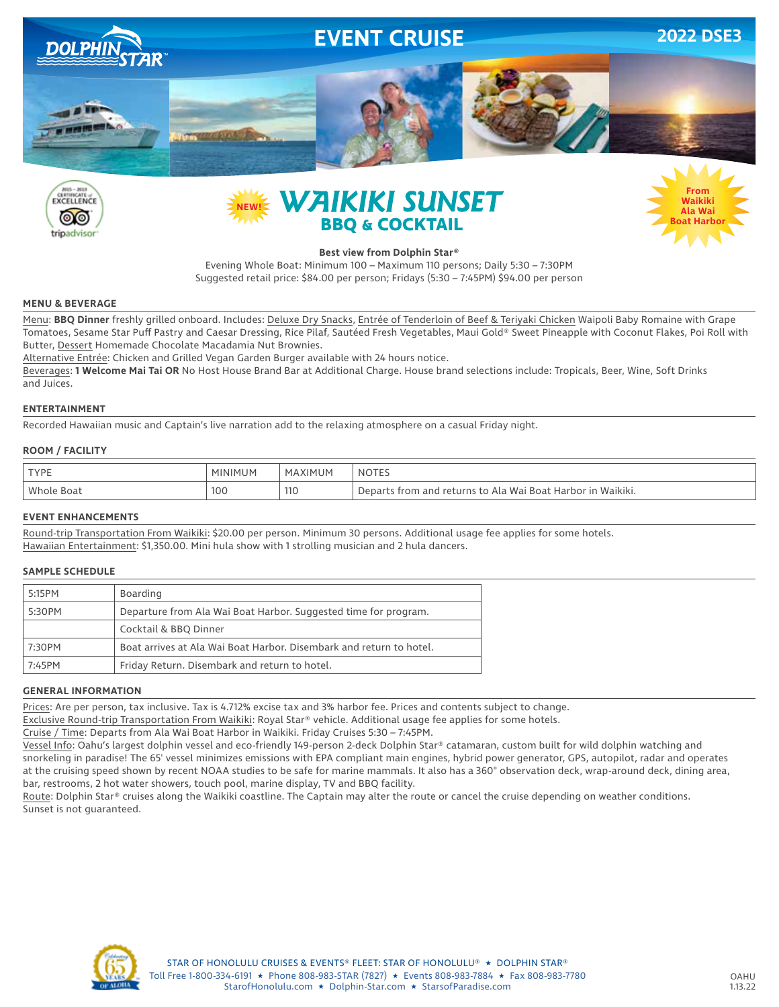







### **Best view from Dolphin Star®**

Evening Whole Boat: Minimum 100 – Maximum 110 persons; Daily 5:30 – 7:30PM Suggested retail price: \$84.00 per person; Fridays (5:30 – 7:45PM) \$94.00 per person

#### **MENU & BEVERAGE**

Menu: **BBQ Dinner** freshly grilled onboard. Includes: Deluxe Dry Snacks, Entrée of Tenderloin of Beef & Teriyaki Chicken Waipoli Baby Romaine with Grape Tomatoes, Sesame Star Puff Pastry and Caesar Dressing, Rice Pilaf, Sautéed Fresh Vegetables, Maui Gold® Sweet Pineapple with Coconut Flakes, Poi Roll with Butter, Dessert Homemade Chocolate Macadamia Nut Brownies.

Alternative Entrée: Chicken and Grilled Vegan Garden Burger available with 24 hours notice.

Beverages: **1 Welcome Mai Tai OR** No Host House Brand Bar at Additional Charge. House brand selections include: Tropicals, Beer, Wine, Soft Drinks and Juices.

#### **ENTERTAINMENT**

Recorded Hawaiian music and Captain's live narration add to the relaxing atmosphere on a casual Friday night.

#### **ROOM / FACILITY**

| <b>TYPE</b>     | <b>MINIMUM</b> | <b>XIMUM</b><br>MА | NOTES                                                                 |
|-----------------|----------------|--------------------|-----------------------------------------------------------------------|
| Whole<br>: Boat | 100            | 11 <sub>C</sub>    | Waikiki.<br>ts from and returns to Ala Wai Boat Harbor in \<br>Depart |

#### **EVENT ENHANCEMENTS**

Round-trip Transportation From Waikiki: \$20.00 per person. Minimum 30 persons. Additional usage fee applies for some hotels. Hawaiian Entertainment: \$1,350.00. Mini hula show with 1 strolling musician and 2 hula dancers.

#### **SAMPLE SCHEDULE**

| 5:15PM | Boarding                                                            |  |
|--------|---------------------------------------------------------------------|--|
| 5:30PM | Departure from Ala Wai Boat Harbor. Suggested time for program.     |  |
|        | Cocktail & BBQ Dinner                                               |  |
| 7:30PM | Boat arrives at Ala Wai Boat Harbor, Disembark and return to hotel. |  |
| 7:45PM | Friday Return. Disembark and return to hotel.                       |  |

#### **GENERAL INFORMATION**

Prices: Are per person, tax inclusive. Tax is 4.712% excise tax and 3% harbor fee. Prices and contents subject to change.

Exclusive Round-trip Transportation From Waikiki: Royal Star® vehicle. Additional usage fee applies for some hotels.

Cruise / Time: Departs from Ala Wai Boat Harbor in Waikiki. Friday Cruises 5:30 – 7:45PM.

Vessel Info: Oahu's largest dolphin vessel and eco-friendly 149-person 2-deck Dolphin Star® catamaran, custom built for wild dolphin watching and snorkeling in paradise! The 65' vessel minimizes emissions with EPA compliant main engines, hybrid power generator, GPS, autopilot, radar and operates at the cruising speed shown by recent NOAA studies to be safe for marine mammals. It also has a 360° observation deck, wrap-around deck, dining area, bar, restrooms, 2 hot water showers, touch pool, marine display, TV and BBQ facility.

Route: Dolphin Star® cruises along the Waikiki coastline. The Captain may alter the route or cancel the cruise depending on weather conditions. Sunset is not guaranteed.